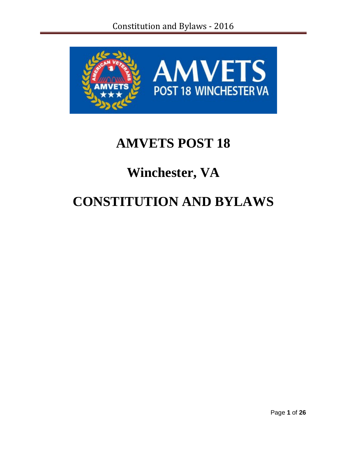

# **AMVETS POST 18**

# **Winchester, VA**

# **CONSTITUTION AND BYLAWS**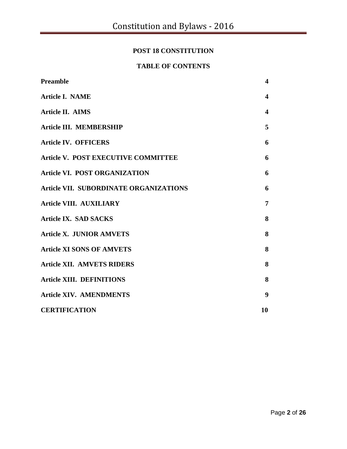# **POST 18 CONSTITUTION**

# **TABLE OF CONTENTS**

| Preamble                               | $\overline{\mathbf{4}}$ |
|----------------------------------------|-------------------------|
| <b>Article I. NAME</b>                 | 4                       |
| <b>Article II. AIMS</b>                | 4                       |
| Article III. MEMBERSHIP                | 5                       |
| <b>Article IV. OFFICERS</b>            | 6                       |
| Article V. POST EXECUTIVE COMMITTEE    | 6                       |
| <b>Article VI. POST ORGANIZATION</b>   | 6                       |
| Article VII. SUBORDINATE ORGANIZATIONS | 6                       |
| <b>Article VIII. AUXILIARY</b>         | $\overline{7}$          |
| <b>Article IX. SAD SACKS</b>           | 8                       |
| <b>Article X. JUNIOR AMVETS</b>        | 8                       |
| <b>Article XI SONS OF AMVETS</b>       | 8                       |
| <b>Article XII. AMVETS RIDERS</b>      | 8                       |
| <b>Article XIII. DEFINITIONS</b>       | 8                       |
| <b>Article XIV. AMENDMENTS</b>         | 9                       |
| <b>CERTIFICATION</b>                   | 10                      |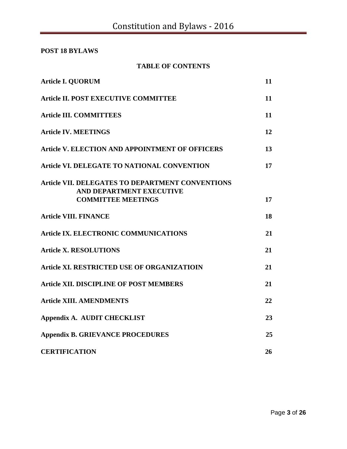**POST 18 BYLAWS**

| <b>TABLE OF CONTENTS</b> |  |  |  |
|--------------------------|--|--|--|
|--------------------------|--|--|--|

| <b>Article I. QUORUM</b>                                                     | 11 |
|------------------------------------------------------------------------------|----|
| <b>Article II. POST EXECUTIVE COMMITTEE</b>                                  | 11 |
| <b>Article III. COMMITTEES</b>                                               | 11 |
| <b>Article IV. MEETINGS</b>                                                  | 12 |
| Article V. ELECTION AND APPOINTMENT OF OFFICERS                              | 13 |
| Article VI. DELEGATE TO NATIONAL CONVENTION                                  | 17 |
| Article VII. DELEGATES TO DEPARTMENT CONVENTIONS<br>AND DEPARTMENT EXECUTIVE |    |
| <b>COMMITTEE MEETINGS</b>                                                    | 17 |
| <b>Article VIII. FINANCE</b>                                                 | 18 |
| <b>Article IX. ELECTRONIC COMMUNICATIONS</b>                                 | 21 |
| <b>Article X. RESOLUTIONS</b>                                                | 21 |
| Article XI. RESTRICTED USE OF ORGANIZATIOIN                                  | 21 |
| <b>Article XII. DISCIPLINE OF POST MEMBERS</b>                               | 21 |
| <b>Article XIII. AMENDMENTS</b>                                              | 22 |
| Appendix A. AUDIT CHECKLIST                                                  | 23 |
| <b>Appendix B. GRIEVANCE PROCEDURES</b>                                      | 25 |
| <b>CERTIFICATION</b>                                                         | 26 |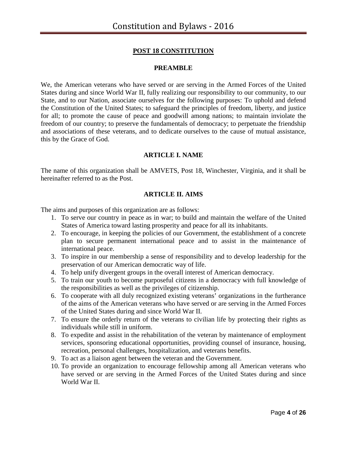# **POST 18 CONSTITUTION**

### **PREAMBLE**

We, the American veterans who have served or are serving in the Armed Forces of the United States during and since World War II, fully realizing our responsibility to our community, to our State, and to our Nation, associate ourselves for the following purposes: To uphold and defend the Constitution of the United States; to safeguard the principles of freedom, liberty, and justice for all; to promote the cause of peace and goodwill among nations; to maintain inviolate the freedom of our country; to preserve the fundamentals of democracy; to perpetuate the friendship and associations of these veterans, and to dedicate ourselves to the cause of mutual assistance, this by the Grace of God.

#### **ARTICLE I. NAME**

The name of this organization shall be AMVETS, Post 18, Winchester, Virginia, and it shall be hereinafter referred to as the Post.

#### **ARTICLE II. AIMS**

The aims and purposes of this organization are as follows:

- 1. To serve our country in peace as in war; to build and maintain the welfare of the United States of America toward lasting prosperity and peace for all its inhabitants.
- 2. To encourage, in keeping the policies of our Government, the establishment of a concrete plan to secure permanent international peace and to assist in the maintenance of international peace.
- 3. To inspire in our membership a sense of responsibility and to develop leadership for the preservation of our American democratic way of life.
- 4. To help unify divergent groups in the overall interest of American democracy.
- 5. To train our youth to become purposeful citizens in a democracy with full knowledge of the responsibilities as well as the privileges of citizenship.
- 6. To cooperate with all duly recognized existing veterans' organizations in the furtherance of the aims of the American veterans who have served or are serving in the Armed Forces of the United States during and since World War II.
- 7. To ensure the orderly return of the veterans to civilian life by protecting their rights as individuals while still in uniform.
- 8. To expedite and assist in the rehabilitation of the veteran by maintenance of employment services, sponsoring educational opportunities, providing counsel of insurance, housing, recreation, personal challenges, hospitalization, and veterans benefits.
- 9. To act as a liaison agent between the veteran and the Government.
- 10. To provide an organization to encourage fellowship among all American veterans who have served or are serving in the Armed Forces of the United States during and since World War II.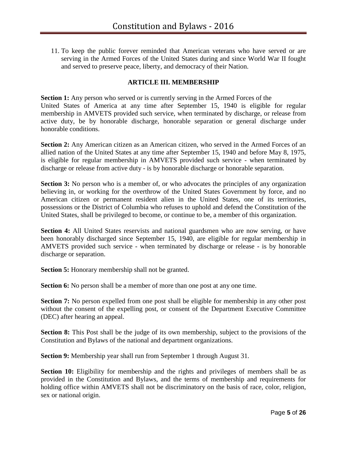11. To keep the public forever reminded that American veterans who have served or are serving in the Armed Forces of the United States during and since World War II fought and served to preserve peace, liberty, and democracy of their Nation.

#### **ARTICLE III. MEMBERSHIP**

**Section 1:** Any person who served or is currently serving in the Armed Forces of the United States of America at any time after September 15, 1940 is eligible for regular membership in AMVETS provided such service, when terminated by discharge, or release from active duty, be by honorable discharge, honorable separation or general discharge under honorable conditions.

**Section 2:** Any American citizen as an American citizen, who served in the Armed Forces of an allied nation of the United States at any time after September 15, 1940 and before May 8, 1975, is eligible for regular membership in AMVETS provided such service - when terminated by discharge or release from active duty - is by honorable discharge or honorable separation.

**Section 3:** No person who is a member of, or who advocates the principles of any organization believing in, or working for the overthrow of the United States Government by force, and no American citizen or permanent resident alien in the United States, one of its territories, possessions or the District of Columbia who refuses to uphold and defend the Constitution of the United States, shall be privileged to become, or continue to be, a member of this organization.

**Section 4:** All United States reservists and national guardsmen who are now serving, or have been honorably discharged since September 15, 1940, are eligible for regular membership in AMVETS provided such service - when terminated by discharge or release - is by honorable discharge or separation.

**Section 5:** Honorary membership shall not be granted.

**Section 6:** No person shall be a member of more than one post at any one time.

**Section 7:** No person expelled from one post shall be eligible for membership in any other post without the consent of the expelling post, or consent of the Department Executive Committee (DEC) after hearing an appeal.

**Section 8:** This Post shall be the judge of its own membership, subject to the provisions of the Constitution and Bylaws of the national and department organizations.

**Section 9:** Membership year shall run from September 1 through August 31.

**Section 10:** Eligibility for membership and the rights and privileges of members shall be as provided in the Constitution and Bylaws, and the terms of membership and requirements for holding office within AMVETS shall not be discriminatory on the basis of race, color, religion, sex or national origin.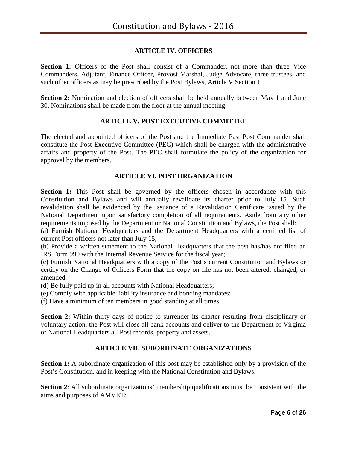### **ARTICLE IV. OFFICERS**

**Section 1:** Officers of the Post shall consist of a Commander, not more than three Vice Commanders, Adjutant, Finance Officer, Provost Marshal, Judge Advocate, three trustees, and such other officers as may be prescribed by the Post Bylaws, Article V Section 1.

**Section 2:** Nomination and election of officers shall be held annually between May 1 and June 30. Nominations shall be made from the floor at the annual meeting.

#### **ARTICLE V. POST EXECUTIVE COMMITTEE**

The elected and appointed officers of the Post and the Immediate Past Post Commander shall constitute the Post Executive Committee (PEC) which shall be charged with the administrative affairs and property of the Post. The PEC shall formulate the policy of the organization for approval by the members.

#### **ARTICLE VI. POST ORGANIZATION**

**Section 1:** This Post shall be governed by the officers chosen in accordance with this Constitution and Bylaws and will annually revalidate its charter prior to July 15. Such revalidation shall be evidenced by the issuance of a Revalidation Certificate issued by the National Department upon satisfactory completion of all requirements. Aside from any other requirements imposed by the Department or National Constitution and Bylaws, the Post shall:

(a) Furnish National Headquarters and the Department Headquarters with a certified list of current Post officers not later than July 15;

(b) Provide a written statement to the National Headquarters that the post has/has not filed an IRS Form 990 with the Internal Revenue Service for the fiscal year;

(c) Furnish National Headquarters with a copy of the Post's current Constitution and Bylaws or certify on the Change of Officers Form that the copy on file has not been altered, changed, or amended.

(d) Be fully paid up in all accounts with National Headquarters;

(e) Comply with applicable liability insurance and bonding mandates;

(f) Have a minimum of ten members in good standing at all times.

**Section 2:** Within thirty days of notice to surrender its charter resulting from disciplinary or voluntary action, the Post will close all bank accounts and deliver to the Department of Virginia or National Headquarters all Post records, property and assets.

# **ARTICLE VII. SUBORDINATE ORGANIZATIONS**

**Section 1:** A subordinate organization of this post may be established only by a provision of the Post's Constitution, and in keeping with the National Constitution and Bylaws.

**Section 2:** All subordinate organizations' membership qualifications must be consistent with the aims and purposes of AMVETS.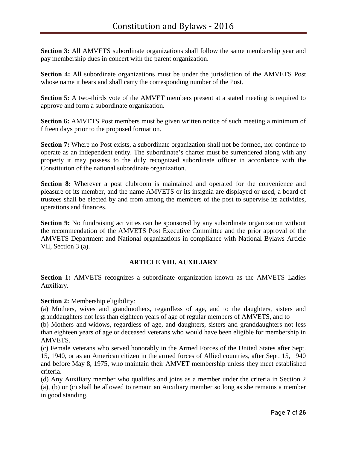**Section 3:** All AMVETS subordinate organizations shall follow the same membership year and pay membership dues in concert with the parent organization.

**Section 4:** All subordinate organizations must be under the jurisdiction of the AMVETS Post whose name it bears and shall carry the corresponding number of the Post.

**Section 5:** A two-thirds vote of the AMVET members present at a stated meeting is required to approve and form a subordinate organization.

**Section 6:** AMVETS Post members must be given written notice of such meeting a minimum of fifteen days prior to the proposed formation.

**Section 7:** Where no Post exists, a subordinate organization shall not be formed, nor continue to operate as an independent entity. The subordinate's charter must be surrendered along with any property it may possess to the duly recognized subordinate officer in accordance with the Constitution of the national subordinate organization.

**Section 8:** Wherever a post clubroom is maintained and operated for the convenience and pleasure of its member, and the name AMVETS or its insignia are displayed or used, a board of trustees shall be elected by and from among the members of the post to supervise its activities, operations and finances.

**Section 9:** No fundraising activities can be sponsored by any subordinate organization without the recommendation of the AMVETS Post Executive Committee and the prior approval of the AMVETS Department and National organizations in compliance with National Bylaws Article VII, Section 3 (a).

# **ARTICLE VIII. AUXILIARY**

**Section 1:** AMVETS recognizes a subordinate organization known as the AMVETS Ladies Auxiliary.

**Section 2:** Membership eligibility:

(a) Mothers, wives and grandmothers, regardless of age, and to the daughters, sisters and granddaughters not less than eighteen years of age of regular members of AMVETS, and to

(b) Mothers and widows, regardless of age, and daughters, sisters and granddaughters not less than eighteen years of age or deceased veterans who would have been eligible for membership in AMVETS.

(c) Female veterans who served honorably in the Armed Forces of the United States after Sept. 15, 1940, or as an American citizen in the armed forces of Allied countries, after Sept. 15, 1940 and before May 8, 1975, who maintain their AMVET membership unless they meet established criteria.

(d) Any Auxiliary member who qualifies and joins as a member under the criteria in Section 2 (a), (b) or (c) shall be allowed to remain an Auxiliary member so long as she remains a member in good standing.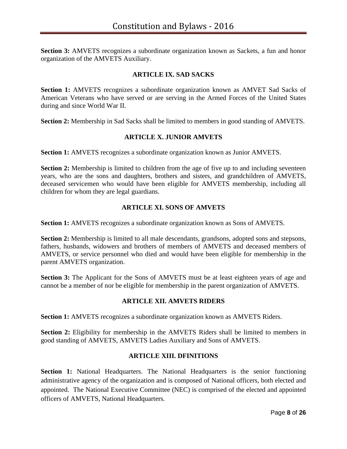**Section 3:** AMVETS recognizes a subordinate organization known as Sackets, a fun and honor organization of the AMVETS Auxiliary.

# **ARTICLE IX. SAD SACKS**

**Section 1:** AMVETS recognizes a subordinate organization known as AMVET Sad Sacks of American Veterans who have served or are serving in the Armed Forces of the United States during and since World War II.

**Section 2:** Membership in Sad Sacks shall be limited to members in good standing of AMVETS.

#### **ARTICLE X. JUNIOR AMVETS**

**Section 1:** AMVETS recognizes a subordinate organization known as Junior AMVETS.

**Section 2:** Membership is limited to children from the age of five up to and including seventeen years, who are the sons and daughters, brothers and sisters, and grandchildren of AMVETS, deceased servicemen who would have been eligible for AMVETS membership, including all children for whom they are legal guardians.

#### **ARTICLE XI. SONS OF AMVETS**

**Section 1:** AMVETS recognizes a subordinate organization known as Sons of AMVETS.

**Section 2:** Membership is limited to all male descendants, grandsons, adopted sons and stepsons, fathers, husbands, widowers and brothers of members of AMVETS and deceased members of AMVETS, or service personnel who died and would have been eligible for membership in the parent AMVETS organization.

**Section 3:** The Applicant for the Sons of AMVETS must be at least eighteen years of age and cannot be a member of nor be eligible for membership in the parent organization of AMVETS.

#### **ARTICLE XII. AMVETS RIDERS**

**Section 1:** AMVETS recognizes a subordinate organization known as AMVETS Riders.

**Section 2:** Eligibility for membership in the AMVETS Riders shall be limited to members in good standing of AMVETS, AMVETS Ladies Auxiliary and Sons of AMVETS.

#### **ARTICLE XIII. DFINITIONS**

**Section 1:** National Headquarters. The National Headquarters is the senior functioning administrative agency of the organization and is composed of National officers, both elected and appointed. The National Executive Committee (NEC) is comprised of the elected and appointed officers of AMVETS, National Headquarters.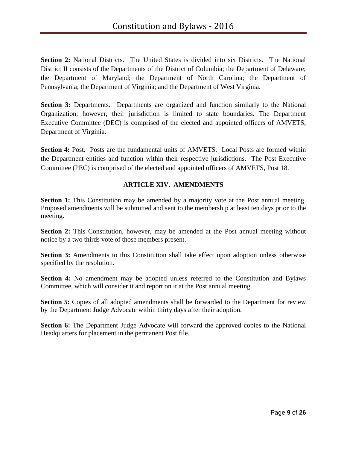**Section 2:** National Districts. The United States is divided into six Districts. The National District II consists of the Departments of the District of Columbia; the Department of Delaware; the Department of Maryland; the Department of North Carolina; the Department of Pennsylvania; the Department of Virginia; and the Department of West Virginia.

**Section 3:** Departments. Departments are organized and function similarly to the National Organization; however, their jurisdiction is limited to state boundaries. The Department Executive Committee (DEC) is comprised of the elected and appointed officers of AMVETS, Department of Virginia.

**Section 4:** Post. Posts are the fundamental units of AMVETS. Local Posts are formed within the Department entities and function within their respective jurisdictions. The Post Executive Committee (PEC) is comprised of the elected and appointed officers of AMVETS, Post 18.

# **ARTICLE XIV. AMENDMENTS**

**Section 1:** This Constitution may be amended by a majority vote at the Post annual meeting. Proposed amendments will be submitted and sent to the membership at least ten days prior to the meeting.

**Section 2:** This Constitution, however, may be amended at the Post annual meeting without notice by a two thirds vote of those members present.

**Section 3:** Amendments to this Constitution shall take effect upon adoption unless otherwise specified by the resolution.

**Section 4:** No amendment may be adopted unless referred to the Constitution and Bylaws Committee, which will consider it and report on it at the Post annual meeting.

**Section 5:** Copies of all adopted amendments shall be forwarded to the Department for review by the Department Judge Advocate within thirty days after their adoption.

**Section 6:** The Department Judge Advocate will forward the approved copies to the National Headquarters for placement in the permanent Post file.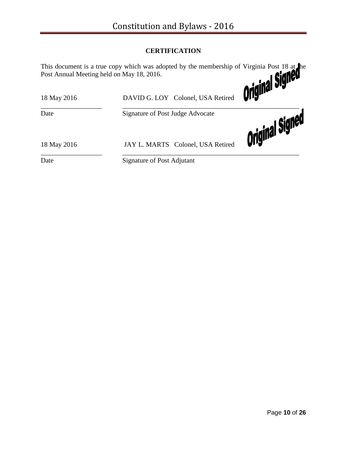# **CERTIFICATION**

This document is a true copy which was adopted by the membership of Virginia Post 18 at the Post Annual Meeting held on May 18, 2016.

| 18 May 2016 | DAVID G. LOY Colonel, USA Retired | <b>Original</b> |
|-------------|-----------------------------------|-----------------|
| Date        | Signature of Post Judge Advocate  |                 |
| 18 May 2016 | JAY L. MARTS Colonel, USA Retired | Original Signer |
| Date        | Signature of Post Adjutant        |                 |

Page **10** of **26**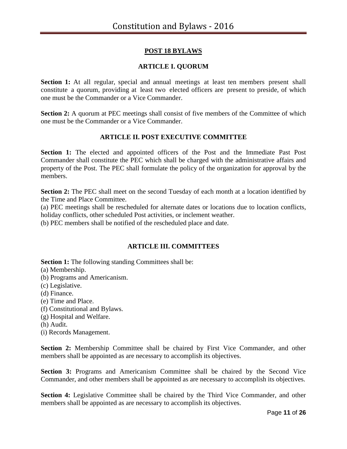# **POST 18 BYLAWS**

# **ARTICLE I. QUORUM**

**Section 1:** At all regular, special and annual meetings at least ten members present shall constitute a quorum, providing at least two elected officers are present to preside, of which one must be the Commander or a Vice Commander.

**Section 2:** A quorum at PEC meetings shall consist of five members of the Committee of which one must be the Commander or a Vice Commander.

# **ARTICLE II. POST EXECUTIVE COMMITTEE**

**Section 1:** The elected and appointed officers of the Post and the Immediate Past Post Commander shall constitute the PEC which shall be charged with the administrative affairs and property of the Post. The PEC shall formulate the policy of the organization for approval by the members.

**Section 2:** The PEC shall meet on the second Tuesday of each month at a location identified by the Time and Place Committee.

(a) PEC meetings shall be rescheduled for alternate dates or locations due to location conflicts, holiday conflicts, other scheduled Post activities, or inclement weather.

(b) PEC members shall be notified of the rescheduled place and date.

# **ARTICLE III. COMMITTEES**

**Section 1:** The following standing Committees shall be:

(a) Membership.

- (b) Programs and Americanism.
- (c) Legislative.
- (d) Finance.
- (e) Time and Place.
- (f) Constitutional and Bylaws.
- (g) Hospital and Welfare.
- (h) Audit.
- (i) Records Management.

**Section 2:** Membership Committee shall be chaired by First Vice Commander, and other members shall be appointed as are necessary to accomplish its objectives.

**Section 3:** Programs and Americanism Committee shall be chaired by the Second Vice Commander, and other members shall be appointed as are necessary to accomplish its objectives.

**Section 4:** Legislative Committee shall be chaired by the Third Vice Commander, and other members shall be appointed as are necessary to accomplish its objectives.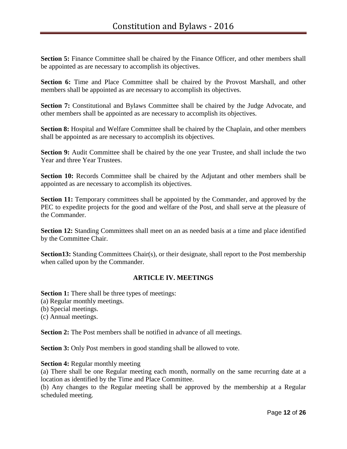**Section 5:** Finance Committee shall be chaired by the Finance Officer, and other members shall be appointed as are necessary to accomplish its objectives.

**Section 6:** Time and Place Committee shall be chaired by the Provost Marshall, and other members shall be appointed as are necessary to accomplish its objectives.

**Section 7:** Constitutional and Bylaws Committee shall be chaired by the Judge Advocate, and other members shall be appointed as are necessary to accomplish its objectives.

**Section 8:** Hospital and Welfare Committee shall be chaired by the Chaplain, and other members shall be appointed as are necessary to accomplish its objectives.

**Section 9:** Audit Committee shall be chaired by the one year Trustee, and shall include the two Year and three Year Trustees.

**Section 10:** Records Committee shall be chaired by the Adjutant and other members shall be appointed as are necessary to accomplish its objectives.

**Section 11:** Temporary committees shall be appointed by the Commander, and approved by the PEC to expedite projects for the good and welfare of the Post, and shall serve at the pleasure of the Commander.

**Section 12:** Standing Committees shall meet on an as needed basis at a time and place identified by the Committee Chair.

**Section13:** Standing Committees Chair(s), or their designate, shall report to the Post membership when called upon by the Commander.

#### **ARTICLE IV. MEETINGS**

**Section 1:** There shall be three types of meetings:

(a) Regular monthly meetings.

(b) Special meetings.

(c) Annual meetings.

**Section 2:** The Post members shall be notified in advance of all meetings.

**Section 3:** Only Post members in good standing shall be allowed to vote.

#### **Section 4:** Regular monthly meeting

(a) There shall be one Regular meeting each month, normally on the same recurring date at a location as identified by the Time and Place Committee.

(b) Any changes to the Regular meeting shall be approved by the membership at a Regular scheduled meeting.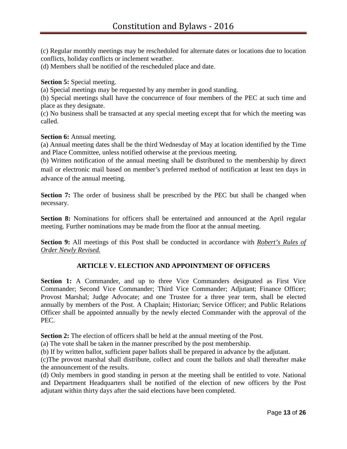(c) Regular monthly meetings may be rescheduled for alternate dates or locations due to location conflicts, holiday conflicts or inclement weather.

(d) Members shall be notified of the rescheduled place and date.

**Section 5:** Special meeting.

(a) Special meetings may be requested by any member in good standing.

(b) Special meetings shall have the concurrence of four members of the PEC at such time and place as they designate.

(c) No business shall be transacted at any special meeting except that for which the meeting was called.

#### **Section 6:** Annual meeting.

(a) Annual meeting dates shall be the third Wednesday of May at location identified by the Time and Place Committee, unless notified otherwise at the previous meeting.

(b) Written notification of the annual meeting shall be distributed to the membership by direct mail or electronic mail based on member's preferred method of notification at least ten days in advance of the annual meeting.

**Section 7:** The order of business shall be prescribed by the PEC but shall be changed when necessary.

**Section 8:** Nominations for officers shall be entertained and announced at the April regular meeting. Further nominations may be made from the floor at the annual meeting.

**Section 9:** All meetings of this Post shall be conducted in accordance with *Robert's Rules of Order Newly Revised.*

#### **ARTICLE V. ELECTION AND APPOINTMENT OF OFFICERS**

**Section 1:** A Commander, and up to three Vice Commanders designated as First Vice Commander; Second Vice Commander; Third Vice Commander; Adjutant; Finance Officer; Provost Marshal; Judge Advocate; and one Trustee for a three year term, shall be elected annually by members of the Post. A Chaplain; Historian; Service Officer; and Public Relations Officer shall be appointed annually by the newly elected Commander with the approval of the PEC.

**Section 2:** The election of officers shall be held at the annual meeting of the Post.

(a) The vote shall be taken in the manner prescribed by the post membership.

(b) If by written ballot, sufficient paper ballots shall be prepared in advance by the adjutant.

(c)The provost marshal shall distribute, collect and count the ballots and shall thereafter make the announcement of the results.

(d) Only members in good standing in person at the meeting shall be entitled to vote. National and Department Headquarters shall be notified of the election of new officers by the Post adjutant within thirty days after the said elections have been completed.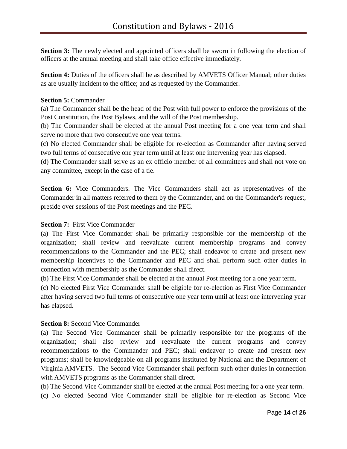**Section 3:** The newly elected and appointed officers shall be sworn in following the election of officers at the annual meeting and shall take office effective immediately.

**Section 4:** Duties of the officers shall be as described by AMVETS Officer Manual; other duties as are usually incident to the office; and as requested by the Commander.

#### **Section 5:** Commander

(a) The Commander shall be the head of the Post with full power to enforce the provisions of the Post Constitution, the Post Bylaws, and the will of the Post membership.

(b) The Commander shall be elected at the annual Post meeting for a one year term and shall serve no more than two consecutive one year terms.

(c) No elected Commander shall be eligible for re-election as Commander after having served two full terms of consecutive one year term until at least one intervening year has elapsed.

(d) The Commander shall serve as an ex officio member of all committees and shall not vote on any committee, except in the case of a tie.

S**ection 6:** Vice Commanders. The Vice Commanders shall act as representatives of the Commander in all matters referred to them by the Commander, and on the Commander's request, preside over sessions of the Post meetings and the PEC.

### **Section 7:** First Vice Commander

(a) The First Vice Commander shall be primarily responsible for the membership of the organization; shall review and reevaluate current membership programs and convey recommendations to the Commander and the PEC; shall endeavor to create and present new membership incentives to the Commander and PEC and shall perform such other duties in connection with membership as the Commander shall direct.

(b) The First Vice Commander shall be elected at the annual Post meeting for a one year term.

(c) No elected First Vice Commander shall be eligible for re-election as First Vice Commander after having served two full terms of consecutive one year term until at least one intervening year has elapsed.

# **Section 8:** Second Vice Commander

(a) The Second Vice Commander shall be primarily responsible for the programs of the organization; shall also review and reevaluate the current programs and convey recommendations to the Commander and PEC; shall endeavor to create and present new programs; shall be knowledgeable on all programs instituted by National and the Department of Virginia AMVETS. The Second Vice Commander shall perform such other duties in connection with AMVETS programs as the Commander shall direct.

(b) The Second Vice Commander shall be elected at the annual Post meeting for a one year term.

(c) No elected Second Vice Commander shall be eligible for re-election as Second Vice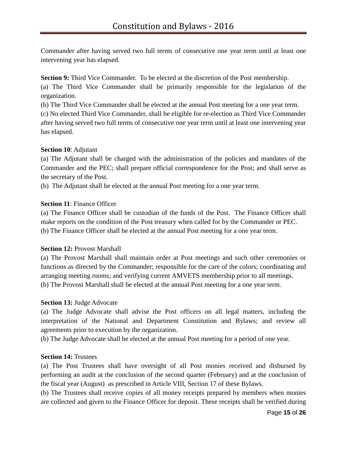Commander after having served two full terms of consecutive one year term until at least one intervening year has elapsed.

**Section 9:** Third Vice Commander. To be elected at the discretion of the Post membership.

(a) The Third Vice Commander shall be primarily responsible for the legislation of the organization.

(b) The Third Vice Commander shall be elected at the annual Post meeting for a one year term.

(c) No elected Third Vice Commander, shall be eligible for re-election as Third Vice Commander after having served two full terms of consecutive one year term until at least one intervening year has elapsed.

# **Section 10**: Adjutant

(a) The Adjutant shall be charged with the administration of the policies and mandates of the Commander and the PEC; shall prepare official correspondence for the Post; and shall serve as the secretary of the Post.

(b) The Adjutant shall be elected at the annual Post meeting for a one year term.

# **Section 11**: Finance Officer

(a) The Finance Officer shall be custodian of the funds of the Post. The Finance Officer shall make reports on the condition of the Post treasury when called for by the Commander or PEC. (b) The Finance Officer shall be elected at the annual Post meeting for a one year term.

# **Section 12: Provost Marshall**

(a) The Provost Marshall shall maintain order at Post meetings and such other ceremonies or functions as directed by the Commander; responsible for the care of the colors; coordinating and arranging meeting rooms; and verifying current AMVETS membership prior to all meetings. (b) The Provost Marshall shall be elected at the annual Post meeting for a one year term.

# **Section 13:** Judge Advocate

(a) The Judge Advocate shall advise the Post officers on all legal matters, including the interpretation of the National and Department Constitution and Bylaws; and review all agreements prior to execution by the organization.

(b) The Judge Advocate shall be elected at the annual Post meeting for a period of one year.

# **Section 14:** Trustees

(a) The Post Trustees shall have oversight of all Post monies received and disbursed by performing an audit at the conclusion of the second quarter (February) and at the conclusion of the fiscal year (August) as prescribed in Article VIII, Section 17 of these Bylaws.

(b) The Trustees shall receive copies of all money receipts prepared by members when monies are collected and given to the Finance Officer for deposit. These receipts shall be verified during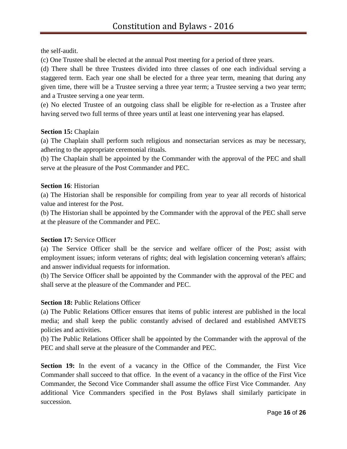the self-audit.

(c) One Trustee shall be elected at the annual Post meeting for a period of three years.

(d) There shall be three Trustees divided into three classes of one each individual serving a staggered term. Each year one shall be elected for a three year term, meaning that during any given time, there will be a Trustee serving a three year term; a Trustee serving a two year term; and a Trustee serving a one year term.

(e) No elected Trustee of an outgoing class shall be eligible for re-election as a Trustee after having served two full terms of three years until at least one intervening year has elapsed.

#### **Section 15:** Chaplain

(a) The Chaplain shall perform such religious and nonsectarian services as may be necessary, adhering to the appropriate ceremonial rituals.

(b) The Chaplain shall be appointed by the Commander with the approval of the PEC and shall serve at the pleasure of the Post Commander and PEC.

#### **Section 16**: Historian

(a) The Historian shall be responsible for compiling from year to year all records of historical value and interest for the Post.

(b) The Historian shall be appointed by the Commander with the approval of the PEC shall serve at the pleasure of the Commander and PEC.

# **Section 17: Service Officer**

(a) The Service Officer shall be the service and welfare officer of the Post; assist with employment issues; inform veterans of rights; deal with legislation concerning veteran's affairs; and answer individual requests for information.

(b) The Service Officer shall be appointed by the Commander with the approval of the PEC and shall serve at the pleasure of the Commander and PEC.

# **Section 18: Public Relations Officer**

(a) The Public Relations Officer ensures that items of public interest are published in the local media; and shall keep the public constantly advised of declared and established AMVETS policies and activities.

(b) The Public Relations Officer shall be appointed by the Commander with the approval of the PEC and shall serve at the pleasure of the Commander and PEC.

**Section 19:** In the event of a vacancy in the Office of the Commander, the First Vice Commander shall succeed to that office. In the event of a vacancy in the office of the First Vice Commander, the Second Vice Commander shall assume the office First Vice Commander. Any additional Vice Commanders specified in the Post Bylaws shall similarly participate in succession.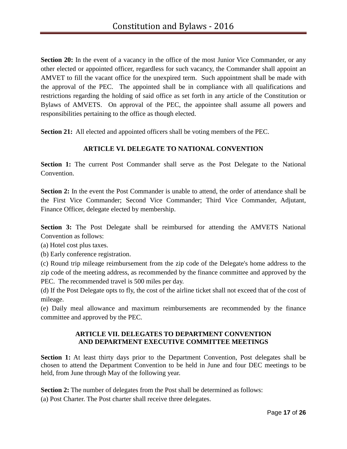**Section 20:** In the event of a vacancy in the office of the most Junior Vice Commander, or any other elected or appointed officer, regardless for such vacancy, the Commander shall appoint an AMVET to fill the vacant office for the unexpired term. Such appointment shall be made with the approval of the PEC. The appointed shall be in compliance with all qualifications and restrictions regarding the holding of said office as set forth in any article of the Constitution or Bylaws of AMVETS. On approval of the PEC, the appointee shall assume all powers and responsibilities pertaining to the office as though elected.

**Section 21:** All elected and appointed officers shall be voting members of the PEC.

# **ARTICLE VI. DELEGATE TO NATIONAL CONVENTION**

**Section 1:** The current Post Commander shall serve as the Post Delegate to the National Convention.

**Section 2:** In the event the Post Commander is unable to attend, the order of attendance shall be the First Vice Commander; Second Vice Commander; Third Vice Commander, Adjutant, Finance Officer, delegate elected by membership.

**Section 3:** The Post Delegate shall be reimbursed for attending the AMVETS National Convention as follows:

(a) Hotel cost plus taxes.

(b) Early conference registration.

(c) Round trip mileage reimbursement from the zip code of the Delegate's home address to the zip code of the meeting address, as recommended by the finance committee and approved by the PEC. The recommended travel is 500 miles per day.

(d) If the Post Delegate opts to fly, the cost of the airline ticket shall not exceed that of the cost of mileage.

(e) Daily meal allowance and maximum reimbursements are recommended by the finance committee and approved by the PEC.

#### **ARTICLE VII. DELEGATES TO DEPARTMENT CONVENTION AND DEPARTMENT EXECUTIVE COMMITTEE MEETINGS**

**Section 1:** At least thirty days prior to the Department Convention, Post delegates shall be chosen to attend the Department Convention to be held in June and four DEC meetings to be held, from June through May of the following year.

**Section 2:** The number of delegates from the Post shall be determined as follows:

(a) Post Charter. The Post charter shall receive three delegates.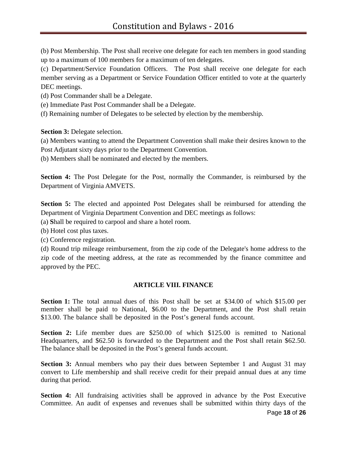(b) Post Membership. The Post shall receive one delegate for each ten members in good standing up to a maximum of 100 members for a maximum of ten delegates.

(c) Department/Service Foundation Officers. The Post shall receive one delegate for each member serving as a Department or Service Foundation Officer entitled to vote at the quarterly DEC meetings.

(d) Post Commander shall be a Delegate.

(e) Immediate Past Post Commander shall be a Delegate.

(f) Remaining number of Delegates to be selected by election by the membership.

**Section 3:** Delegate selection.

(a) Members wanting to attend the Department Convention shall make their desires known to the Post Adjutant sixty days prior to the Department Convention.

(b) Members shall be nominated and elected by the members.

**Section 4:** The Post Delegate for the Post, normally the Commander, is reimbursed by the Department of Virginia AMVETS.

**Section 5:** The elected and appointed Post Delegates shall be reimbursed for attending the Department of Virginia Department Convention and DEC meetings as follows:

(a) **S**hall be required to carpool and share a hotel room.

(b) Hotel cost plus taxes.

(c) Conference registration.

(d) Round trip mileage reimbursement, from the zip code of the Delegate's home address to the zip code of the meeting address, at the rate as recommended by the finance committee and approved by the PEC.

#### **ARTICLE VIII. FINANCE**

**Section 1:** The total annual dues of this Post shall be set at \$34.00 of which \$15.00 per member shall be paid to National, \$6.00 to the Department, and the Post shall retain \$13.00. The balance shall be deposited in the Post's general funds account.

**Section 2:** Life member dues are \$250.00 of which \$125.00 is remitted to National Headquarters, and \$62.50 is forwarded to the Department and the Post shall retain \$62.50. The balance shall be deposited in the Post's general funds account.

**Section 3:** Annual members who pay their dues between September 1 and August 31 may convert to Life membership and shall receive credit for their prepaid annual dues at any time during that period.

**Section 4:** All fundraising activities shall be approved in advance by the Post Executive Committee. An audit of expenses and revenues shall be submitted within thirty days of the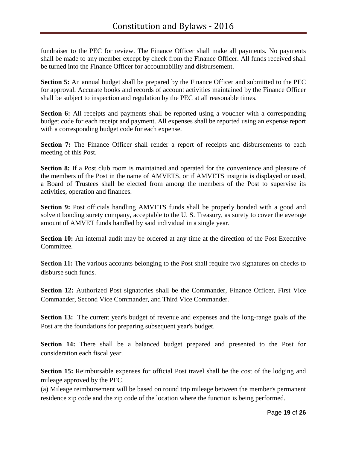fundraiser to the PEC for review. The Finance Officer shall make all payments. No payments shall be made to any member except by check from the Finance Officer. All funds received shall be turned into the Finance Officer for accountability and disbursement.

**Section 5:** An annual budget shall be prepared by the Finance Officer and submitted to the PEC for approval. Accurate books and records of account activities maintained by the Finance Officer shall be subject to inspection and regulation by the PEC at all reasonable times.

**Section 6:** All receipts and payments shall be reported using a voucher with a corresponding budget code for each receipt and payment. All expenses shall be reported using an expense report with a corresponding budget code for each expense.

**Section 7:** The Finance Officer shall render a report of receipts and disbursements to each meeting of this Post.

**Section 8:** If a Post club room is maintained and operated for the convenience and pleasure of the members of the Post in the name of AMVETS, or if AMVETS insignia is displayed or used, a Board of Trustees shall be elected from among the members of the Post to supervise its activities, operation and finances.

**Section 9:** Post officials handling AMVETS funds shall be properly bonded with a good and solvent bonding surety company, acceptable to the U. S. Treasury, as surety to cover the average amount of AMVET funds handled by said individual in a single year.

**Section 10:** An internal audit may be ordered at any time at the direction of the Post Executive Committee.

**Section 11:** The various accounts belonging to the Post shall require two signatures on checks to disburse such funds.

**Section 12:** Authorized Post signatories shall be the Commander, Finance Officer, First Vice Commander, Second Vice Commander, and Third Vice Commander.

**Section 13:** The current year's budget of revenue and expenses and the long-range goals of the Post are the foundations for preparing subsequent year's budget.

**Section 14:** There shall be a balanced budget prepared and presented to the Post for consideration each fiscal year.

**Section 15:** Reimbursable expenses for official Post travel shall be the cost of the lodging and mileage approved by the PEC.

(a) Mileage reimbursement will be based on round trip mileage between the member's permanent residence zip code and the zip code of the location where the function is being performed.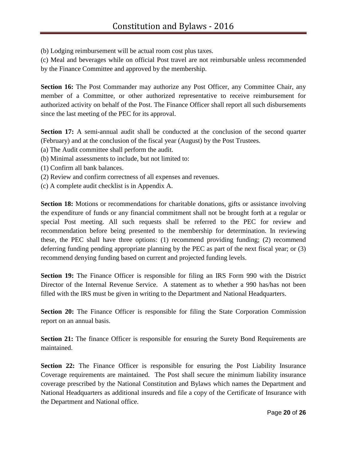(b) Lodging reimbursement will be actual room cost plus taxes.

(c) Meal and beverages while on official Post travel are not reimbursable unless recommended by the Finance Committee and approved by the membership.

**Section 16:** The Post Commander may authorize any Post Officer, any Committee Chair, any member of a Committee, or other authorized representative to receive reimbursement for authorized activity on behalf of the Post. The Finance Officer shall report all such disbursements since the last meeting of the PEC for its approval.

**Section 17:** A semi-annual audit shall be conducted at the conclusion of the second quarter (February) and at the conclusion of the fiscal year (August) by the Post Trustees.

- (a) The Audit committee shall perform the audit.
- (b) Minimal assessments to include, but not limited to:
- (1) Confirm all bank balances.
- (2) Review and confirm correctness of all expenses and revenues.
- (c) A complete audit checklist is in Appendix A.

**Section 18:** Motions or recommendations for charitable donations, gifts or assistance involving the expenditure of funds or any financial commitment shall not be brought forth at a regular or special Post meeting. All such requests shall be referred to the PEC for review and recommendation before being presented to the membership for determination. In reviewing these, the PEC shall have three options: (1) recommend providing funding; (2) recommend deferring funding pending appropriate planning by the PEC as part of the next fiscal year; or (3) recommend denying funding based on current and projected funding levels.

**Section 19:** The Finance Officer is responsible for filing an IRS Form 990 with the District Director of the Internal Revenue Service. A statement as to whether a 990 has/has not been filled with the IRS must be given in writing to the Department and National Headquarters.

**Section 20:** The Finance Officer is responsible for filing the State Corporation Commission report on an annual basis.

**Section 21:** The finance Officer is responsible for ensuring the Surety Bond Requirements are maintained.

**Section 22:** The Finance Officer is responsible for ensuring the Post Liability Insurance Coverage requirements are maintained. The Post shall secure the minimum liability insurance coverage prescribed by the National Constitution and Bylaws which names the Department and National Headquarters as additional insureds and file a copy of the Certificate of Insurance with the Department and National office.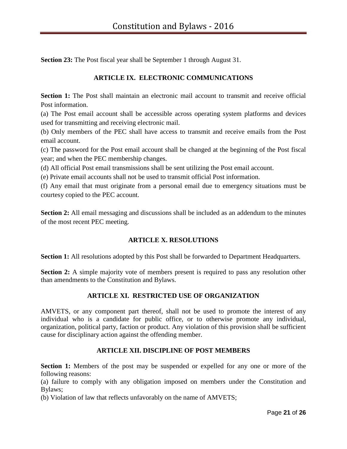**Section 23:** The Post fiscal year shall be September 1 through August 31.

# **ARTICLE IX. ELECTRONIC COMMUNICATIONS**

**Section 1:** The Post shall maintain an electronic mail account to transmit and receive official Post information.

(a) The Post email account shall be accessible across operating system platforms and devices used for transmitting and receiving electronic mail.

(b) Only members of the PEC shall have access to transmit and receive emails from the Post email account.

(c) The password for the Post email account shall be changed at the beginning of the Post fiscal year; and when the PEC membership changes.

(d) All official Post email transmissions shall be sent utilizing the Post email account.

(e) Private email accounts shall not be used to transmit official Post information.

(f) Any email that must originate from a personal email due to emergency situations must be courtesy copied to the PEC account.

**Section 2:** All email messaging and discussions shall be included as an addendum to the minutes of the most recent PEC meeting.

# **ARTICLE X. RESOLUTIONS**

**Section 1:** All resolutions adopted by this Post shall be forwarded to Department Headquarters.

**Section 2:** A simple majority vote of members present is required to pass any resolution other than amendments to the Constitution and Bylaws.

# **ARTICLE XI. RESTRICTED USE OF ORGANIZATION**

AMVETS, or any component part thereof, shall not be used to promote the interest of any individual who is a candidate for public office, or to otherwise promote any individual, organization, political party, faction or product. Any violation of this provision shall be sufficient cause for disciplinary action against the offending member.

# **ARTICLE XII. DISCIPLINE OF POST MEMBERS**

**Section 1:** Members of the post may be suspended or expelled for any one or more of the following reasons:

(a) failure to comply with any obligation imposed on members under the Constitution and Bylaws;

(b) Violation of law that reflects unfavorably on the name of AMVETS;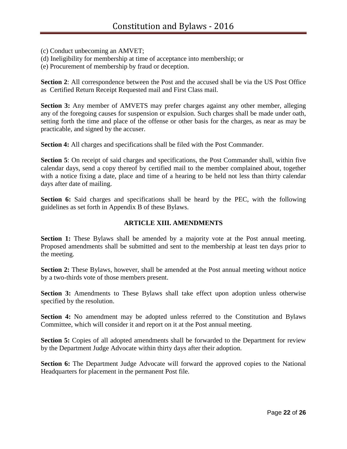(c) Conduct unbecoming an AMVET;

(d) Ineligibility for membership at time of acceptance into membership; or

(e) Procurement of membership by fraud or deception.

**Section 2**: All correspondence between the Post and the accused shall be via the US Post Office as Certified Return Receipt Requested mail and First Class mail.

**Section 3:** Any member of AMVETS may prefer charges against any other member, alleging any of the foregoing causes for suspension or expulsion. Such charges shall be made under oath, setting forth the time and place of the offense or other basis for the charges, as near as may be practicable, and signed by the accuser.

**Section 4:** All charges and specifications shall be filed with the Post Commander.

**Section 5**: On receipt of said charges and specifications, the Post Commander shall, within five calendar days, send a copy thereof by certified mail to the member complained about, together with a notice fixing a date, place and time of a hearing to be held not less than thirty calendar days after date of mailing.

**Section 6:** Said charges and specifications shall be heard by the PEC, with the following guidelines as set forth in Appendix B of these Bylaws.

# **ARTICLE XIII. AMENDMENTS**

**Section 1:** These Bylaws shall be amended by a majority vote at the Post annual meeting. Proposed amendments shall be submitted and sent to the membership at least ten days prior to the meeting.

**Section 2:** These Bylaws, however, shall be amended at the Post annual meeting without notice by a two-thirds vote of those members present.

**Section 3:** Amendments to These Bylaws shall take effect upon adoption unless otherwise specified by the resolution.

**Section 4:** No amendment may be adopted unless referred to the Constitution and Bylaws Committee, which will consider it and report on it at the Post annual meeting.

**Section 5:** Copies of all adopted amendments shall be forwarded to the Department for review by the Department Judge Advocate within thirty days after their adoption.

**Section 6:** The Department Judge Advocate will forward the approved copies to the National Headquarters for placement in the permanent Post file.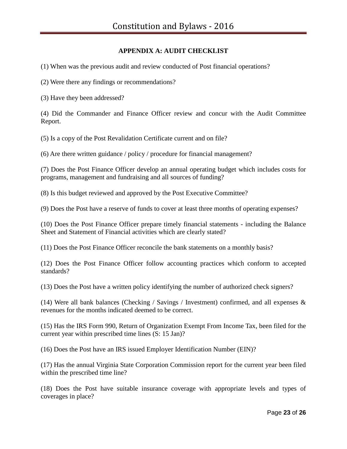# **APPENDIX A: AUDIT CHECKLIST**

(1) When was the previous audit and review conducted of Post financial operations?

(2) Were there any findings or recommendations?

(3) Have they been addressed?

(4) Did the Commander and Finance Officer review and concur with the Audit Committee Report.

(5) Is a copy of the Post Revalidation Certificate current and on file?

(6) Are there written guidance / policy / procedure for financial management?

(7) Does the Post Finance Officer develop an annual operating budget which includes costs for programs, management and fundraising and all sources of funding?

(8) Is this budget reviewed and approved by the Post Executive Committee?

(9) Does the Post have a reserve of funds to cover at least three months of operating expenses?

(10) Does the Post Finance Officer prepare timely financial statements - including the Balance Sheet and Statement of Financial activities which are clearly stated?

(11) Does the Post Finance Officer reconcile the bank statements on a monthly basis?

(12) Does the Post Finance Officer follow accounting practices which conform to accepted standards?

(13) Does the Post have a written policy identifying the number of authorized check signers?

(14) Were all bank balances (Checking / Savings / Investment) confirmed, and all expenses & revenues for the months indicated deemed to be correct.

(15) Has the IRS Form 990, Return of Organization Exempt From Income Tax, been filed for the current year within prescribed time lines (S: 15 Jan)?

(16) Does the Post have an IRS issued Employer Identification Number (EIN)?

(17) Has the annual Virginia State Corporation Commission report for the current year been filed within the prescribed time line?

(18) Does the Post have suitable insurance coverage with appropriate levels and types of coverages in place?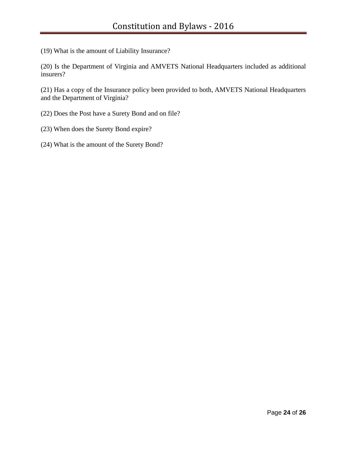(19) What is the amount of Liability Insurance?

(20) Is the Department of Virginia and AMVETS National Headquarters included as additional insurers?

(21) Has a copy of the Insurance policy been provided to both, AMVETS National Headquarters and the Department of Virginia?

- (22) Does the Post have a Surety Bond and on file?
- (23) When does the Surety Bond expire?
- (24) What is the amount of the Surety Bond?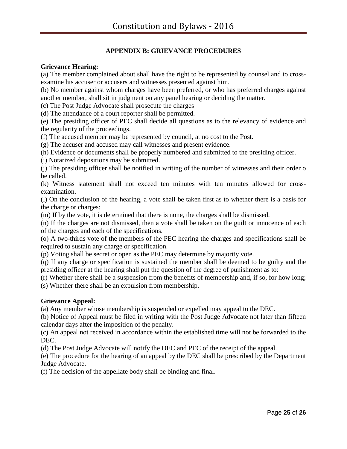# **APPENDIX B: GRIEVANCE PROCEDURES**

#### **Grievance Hearing:**

(a) The member complained about shall have the right to be represented by counsel and to crossexamine his accuser or accusers and witnesses presented against him.

(b) No member against whom charges have been preferred, or who has preferred charges against another member, shall sit in judgment on any panel hearing or deciding the matter.

(c) The Post Judge Advocate shall prosecute the charges

(d) The attendance of a court reporter shall be permitted.

(e) The presiding officer of PEC shall decide all questions as to the relevancy of evidence and the regularity of the proceedings.

(f) The accused member may be represented by council, at no cost to the Post.

(g) The accuser and accused may call witnesses and present evidence.

(h) Evidence or documents shall be properly numbered and submitted to the presiding officer.

(i) Notarized depositions may be submitted.

(j) The presiding officer shall be notified in writing of the number of witnesses and their order o be called.

(k) Witness statement shall not exceed ten minutes with ten minutes allowed for crossexamination.

(l) On the conclusion of the hearing, a vote shall be taken first as to whether there is a basis for the charge or charges:

(m) If by the vote, it is determined that there is none, the charges shall be dismissed.

(n) If the charges are not dismissed, then a vote shall be taken on the guilt or innocence of each of the charges and each of the specifications.

(o) A two-thirds vote of the members of the PEC hearing the charges and specifications shall be required to sustain any charge or specification.

(p) Voting shall be secret or open as the PEC may determine by majority vote.

(q) If any charge or specification is sustained the member shall be deemed to be guilty and the presiding officer at the hearing shall put the question of the degree of punishment as to:

(r) Whether there shall be a suspension from the benefits of membership and, if so, for how long; (s) Whether there shall be an expulsion from membership.

#### **Grievance Appeal:**

(a) Any member whose membership is suspended or expelled may appeal to the DEC.

(b) Notice of Appeal must be filed in writing with the Post Judge Advocate not later than fifteen calendar days after the imposition of the penalty.

(c) An appeal not received in accordance within the established time will not be forwarded to the DEC.

(d) The Post Judge Advocate will notify the DEC and PEC of the receipt of the appeal.

(e) The procedure for the hearing of an appeal by the DEC shall be prescribed by the Department Judge Advocate.

(f) The decision of the appellate body shall be binding and final.